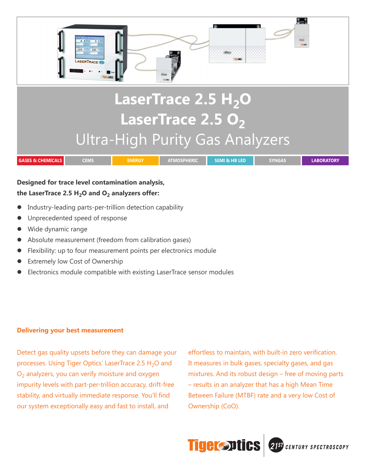

# Ultra-High Purity Gas Analyzers

| <b>GASES &amp; CHEMICALS</b> | -- | INERGI | MI & HB LED' | SYNGAS | <b>ABORATORY</b> |
|------------------------------|----|--------|--------------|--------|------------------|

### **Designed for trace level contamination analysis,**  the LaserTrace 2.5  $H<sub>2</sub>O$  and  $O<sub>2</sub>$  analyzers offer:

- Industry-leading parts-per-trillion detection capability
- Unprecedented speed of response
- Wide dynamic range
- Absolute measurement (freedom from calibration gases)
- Flexibility: up to four measurement points per electronics module
- Extremely low Cost of Ownership
- Electronics module compatible with existing LaserTrace sensor modules

### **Delivering your best measurement**

Detect gas quality upsets before they can damage your processes. Using Tiger Optics' LaserTrace 2.5  $H_2O$  and  $O<sub>2</sub>$  analyzers, you can verify moisture and oxygen impurity levels with part-per-trillion accuracy, drift-free stability, and virtually immediate response. You'll find our system exceptionally easy and fast to install, and

effortless to maintain, with built-in zero verification. It measures in bulk gases, specialty gases, and gas mixtures. And its robust design – free of moving parts – results in an analyzer that has a high Mean Time Between Failure (MTBF) rate and a very low Cost of Ownership (CoO).